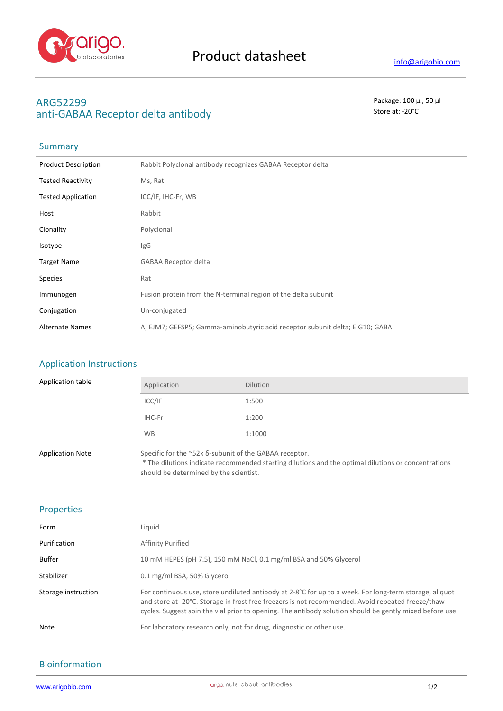

# **ARG52299** Package: 100 μl, 50 μl anti-GABAA Receptor delta antibody and state at the state at  $\sim$  20°C

# Summary

| <b>Product Description</b> | Rabbit Polyclonal antibody recognizes GABAA Receptor delta                   |
|----------------------------|------------------------------------------------------------------------------|
| <b>Tested Reactivity</b>   | Ms, Rat                                                                      |
| <b>Tested Application</b>  | ICC/IF, IHC-Fr, WB                                                           |
| Host                       | Rabbit                                                                       |
| Clonality                  | Polyclonal                                                                   |
| Isotype                    | lgG                                                                          |
| <b>Target Name</b>         | <b>GABAA Receptor delta</b>                                                  |
| <b>Species</b>             | Rat                                                                          |
| Immunogen                  | Fusion protein from the N-terminal region of the delta subunit               |
| Conjugation                | Un-conjugated                                                                |
| <b>Alternate Names</b>     | A; EJM7; GEFSP5; Gamma-aminobutyric acid receptor subunit delta; EIG10; GABA |

### Application Instructions

| Application table       | Application                                                                                      | <b>Dilution</b>                                                                                     |
|-------------------------|--------------------------------------------------------------------------------------------------|-----------------------------------------------------------------------------------------------------|
|                         | ICC/IF                                                                                           | 1:500                                                                                               |
|                         | IHC-Fr                                                                                           | 1:200                                                                                               |
|                         | <b>WB</b>                                                                                        | 1:1000                                                                                              |
| <b>Application Note</b> | Specific for the ~52k δ-subunit of the GABAA receptor.<br>should be determined by the scientist. | * The dilutions indicate recommended starting dilutions and the optimal dilutions or concentrations |

#### Properties

| Form                | Liquid                                                                                                                                                                                                                                                                                                                  |
|---------------------|-------------------------------------------------------------------------------------------------------------------------------------------------------------------------------------------------------------------------------------------------------------------------------------------------------------------------|
| Purification        | Affinity Purified                                                                                                                                                                                                                                                                                                       |
| Buffer              | 10 mM HEPES (pH 7.5), 150 mM NaCl, 0.1 mg/ml BSA and 50% Glycerol                                                                                                                                                                                                                                                       |
| Stabilizer          | 0.1 mg/ml BSA, 50% Glycerol                                                                                                                                                                                                                                                                                             |
| Storage instruction | For continuous use, store undiluted antibody at 2-8°C for up to a week. For long-term storage, aliquot<br>and store at -20°C. Storage in frost free freezers is not recommended. Avoid repeated freeze/thaw<br>cycles. Suggest spin the vial prior to opening. The antibody solution should be gently mixed before use. |
| Note                | For laboratory research only, not for drug, diagnostic or other use.                                                                                                                                                                                                                                                    |

### Bioinformation